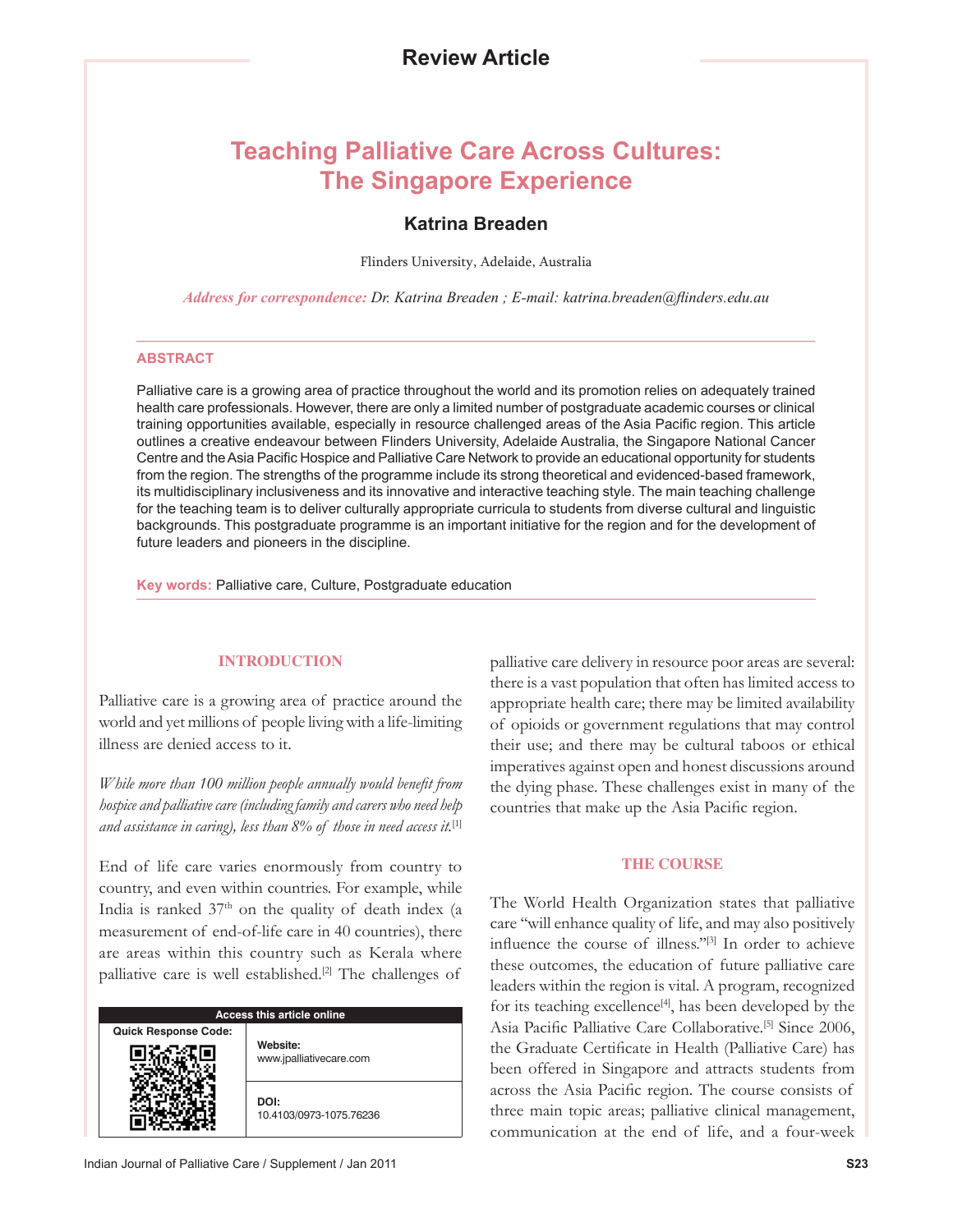# **Teaching Palliative Care Across Cultures: The Singapore Experience**

# **Katrina Breaden**

Flinders University, Adelaide, Australia

*Address for correspondence: Dr. Katrina Breaden ; E-mail: katrina.breaden@flinders.edu.au*

#### **ABSTRACT**

Palliative care is a growing area of practice throughout the world and its promotion relies on adequately trained health care professionals. However, there are only a limited number of postgraduate academic courses or clinical training opportunities available, especially in resource challenged areas of the Asia Pacific region. This article outlines a creative endeavour between Flinders University, Adelaide Australia, the Singapore National Cancer Centre and the Asia Pacific Hospice and Palliative Care Network to provide an educational opportunity for students from the region. The strengths of the programme include its strong theoretical and evidenced-based framework, its multidisciplinary inclusiveness and its innovative and interactive teaching style. The main teaching challenge for the teaching team is to deliver culturally appropriate curricula to students from diverse cultural and linguistic backgrounds. This postgraduate programme is an important initiative for the region and for the development of future leaders and pioneers in the discipline.

**Key words:** Palliative care, Culture, Postgraduate education

## **INTRODUCTION**

Palliative care is a growing area of practice around the world and yet millions of people living with a life-limiting illness are denied access to it.

*While more than 100 million people annually would benefit from hospice and palliative care (including family and carers who need help and assistance in caring), less than 8% of those in need access it.*[1]

End of life care varies enormously from country to country, and even within countries. For example, while India is ranked  $37<sup>th</sup>$  on the quality of death index (a measurement of end-of-life care in 40 countries), there are areas within this country such as Kerala where palliative care is well established.<sup>[2]</sup> The challenges of

| <b>Access this article online</b> |                                     |
|-----------------------------------|-------------------------------------|
| <b>Quick Response Code:</b>       | Website:<br>www.jpalliativecare.com |
|                                   | DOI:<br>10.4103/0973-1075.76236     |

palliative care delivery in resource poor areas are several: there is a vast population that often has limited access to appropriate health care; there may be limited availability of opioids or government regulations that may control their use; and there may be cultural taboos or ethical imperatives against open and honest discussions around the dying phase. These challenges exist in many of the countries that make up the Asia Pacific region.

#### **THE COURSE**

The World Health Organization states that palliative care ''will enhance quality of life, and may also positively influence the course of illness.''[3] In order to achieve these outcomes, the education of future palliative care leaders within the region is vital. A program, recognized for its teaching excellence $[4]$ , has been developed by the Asia Pacific Palliative Care Collaborative.<sup>[5]</sup> Since 2006, the Graduate Certificate in Health (Palliative Care) has been offered in Singapore and attracts students from across the Asia Pacific region. The course consists of three main topic areas; palliative clinical management, communication at the end of life, and a four-week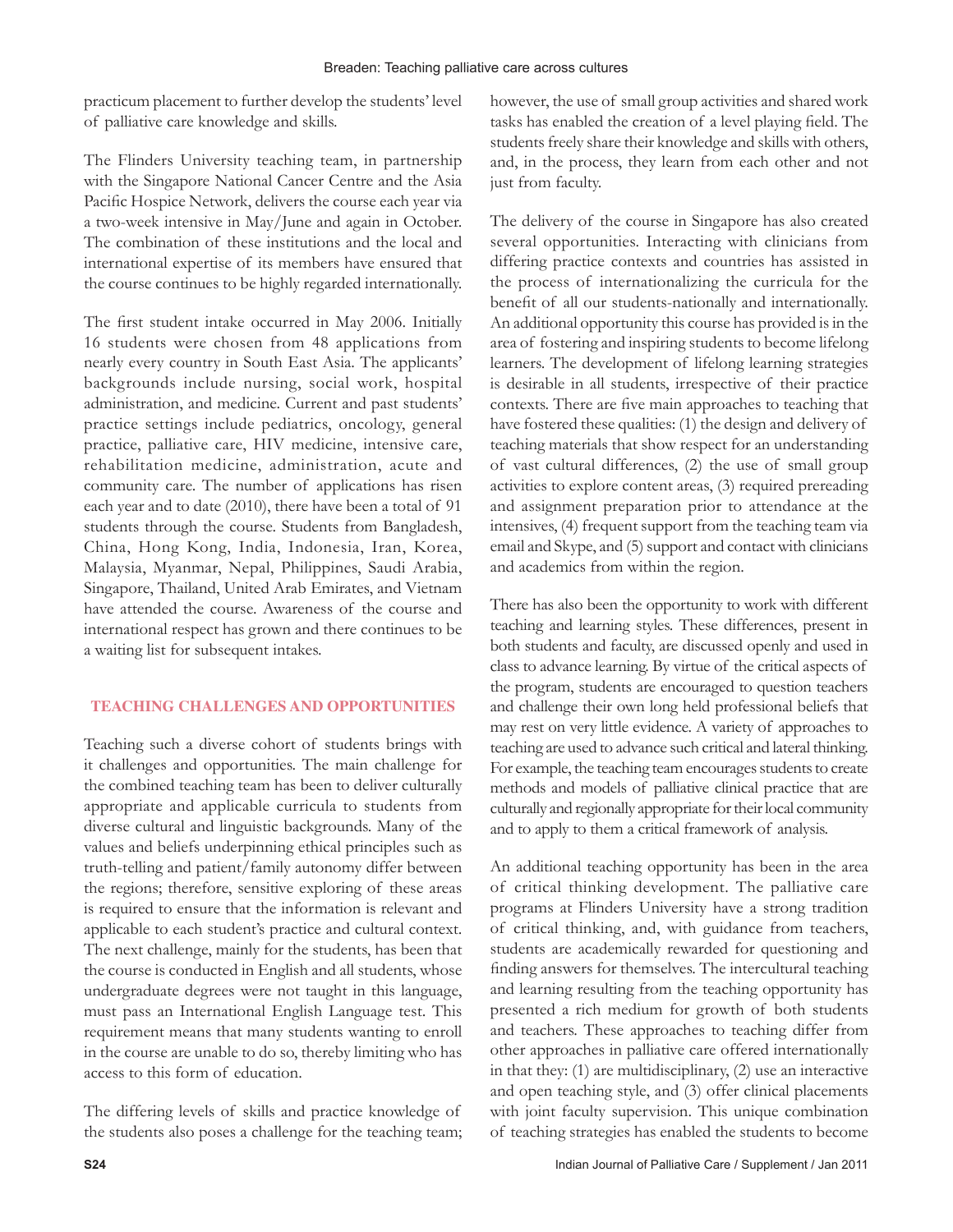practicum placement to further develop the students' level of palliative care knowledge and skills.

The Flinders University teaching team, in partnership with the Singapore National Cancer Centre and the Asia Pacific Hospice Network, delivers the course each year via a two-week intensive in May/June and again in October. The combination of these institutions and the local and international expertise of its members have ensured that the course continues to be highly regarded internationally.

The first student intake occurred in May 2006. Initially 16 students were chosen from 48 applications from nearly every country in South East Asia. The applicants' backgrounds include nursing, social work, hospital administration, and medicine. Current and past students' practice settings include pediatrics, oncology, general practice, palliative care, HIV medicine, intensive care, rehabilitation medicine, administration, acute and community care. The number of applications has risen each year and to date (2010), there have been a total of 91 students through the course. Students from Bangladesh, China, Hong Kong, India, Indonesia, Iran, Korea, Malaysia, Myanmar, Nepal, Philippines, Saudi Arabia, Singapore, Thailand, United Arab Emirates, and Vietnam have attended the course. Awareness of the course and international respect has grown and there continues to be a waiting list for subsequent intakes.

## **TEACHING CHALLENGES AND OPPORTUNITIES**

Teaching such a diverse cohort of students brings with it challenges and opportunities. The main challenge for the combined teaching team has been to deliver culturally appropriate and applicable curricula to students from diverse cultural and linguistic backgrounds. Many of the values and beliefs underpinning ethical principles such as truth-telling and patient/family autonomy differ between the regions; therefore, sensitive exploring of these areas is required to ensure that the information is relevant and applicable to each student's practice and cultural context. The next challenge, mainly for the students, has been that the course is conducted in English and all students, whose undergraduate degrees were not taught in this language, must pass an International English Language test. This requirement means that many students wanting to enroll in the course are unable to do so, thereby limiting who has access to this form of education.

The differing levels of skills and practice knowledge of the students also poses a challenge for the teaching team; however, the use of small group activities and shared work tasks has enabled the creation of a level playing field. The students freely share their knowledge and skills with others, and, in the process, they learn from each other and not just from faculty.

The delivery of the course in Singapore has also created several opportunities. Interacting with clinicians from differing practice contexts and countries has assisted in the process of internationalizing the curricula for the benefit of all our students-nationally and internationally. An additional opportunity this course has provided is in the area of fostering and inspiring students to become lifelong learners. The development of lifelong learning strategies is desirable in all students, irrespective of their practice contexts. There are five main approaches to teaching that have fostered these qualities: (1) the design and delivery of teaching materials that show respect for an understanding of vast cultural differences, (2) the use of small group activities to explore content areas, (3) required prereading and assignment preparation prior to attendance at the intensives, (4) frequent support from the teaching team via email and Skype, and (5) support and contact with clinicians and academics from within the region.

There has also been the opportunity to work with different teaching and learning styles. These differences, present in both students and faculty, are discussed openly and used in class to advance learning. By virtue of the critical aspects of the program, students are encouraged to question teachers and challenge their own long held professional beliefs that may rest on very little evidence. A variety of approaches to teaching are used to advance such critical and lateral thinking. For example, the teaching team encourages students to create methods and models of palliative clinical practice that are culturally and regionally appropriate for their local community and to apply to them a critical framework of analysis.

An additional teaching opportunity has been in the area of critical thinking development. The palliative care programs at Flinders University have a strong tradition of critical thinking, and, with guidance from teachers, students are academically rewarded for questioning and finding answers for themselves. The intercultural teaching and learning resulting from the teaching opportunity has presented a rich medium for growth of both students and teachers. These approaches to teaching differ from other approaches in palliative care offered internationally in that they: (1) are multidisciplinary, (2) use an interactive and open teaching style, and (3) offer clinical placements with joint faculty supervision. This unique combination of teaching strategies has enabled the students to become